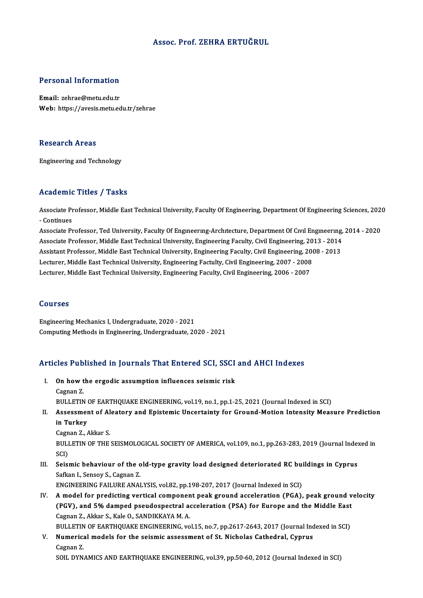# Assoc. Prof. ZEHRA ERTUĞRUL

# Personal Information

Email: zehrae@metu.edu.tr Web: https://avesis.metu.edu.tr/zehrae

### **Research Areas**

Engineering and Technology

# Academic Titles / Tasks

Academic Titles / Tasks<br>Associate Professor, Middle East Technical University, Faculty Of Engineering, Department Of Engineering Sciences, 2020 Associate Pr<br>- Continues<br>- Continues Associate Professor, Middle East Technical University, Faculty Of Engineering, Department Of Engineering Sciences, 202<br>- Continues<br>Associate Professor, Ted University, Faculty Of Engineering-Architecture, Department Of Civ

- Continues<br>Associate Professor, Ted University, Faculty Of Engmeering-Architecture, Department Of Civil Engineering, 2014<br>Associate Professor, Middle East Technical University, Engineering Faculty, Civil Engineering, 2013 Associate Professor, Ted University, Faculty Of Engmeering-Architecture, Department Of Civil Engineering,<br>Associate Professor, Middle East Technical University, Engineering Faculty, Civil Engineering, 2013 - 2014<br>Assistant Associate Professor, Middle East Technical University, Engineering Faculty, Civil Engineering, 20<br>Assistant Professor, Middle East Technical University, Engineering Faculty, Civil Engineering, 200<br>Lecturer, Middle East Tec Assistant Professor, Middle East Technical University, Engineering Faculty, Civil Engineering, 20<br>Lecturer, Middle East Technical University, Engineering Factulty, Civil Engineering, 2007 - 2008<br>Lecturer, Middle East Techn Lecturer, Middle East Technical University, Engineering Faculty, Civil Engineering, 2006 - 2007<br>Courses

Engineering Mechanics I, Undergraduate, 2020 - 2021 Computing Methods in Engineering, Undergraduate, 2020 - 2021

# Computing Methods in Engineering, Undergraduate, 2020 - 2021<br>Articles Published in Journals That Entered SCI, SSCI and AHCI Indexes

- rticles Published in Journals That Entered SCI, SSCI<br>I. On how the ergodic assumption influences seismic risk I. On how the ergodic assumption influences seismic risk<br>Cagnan Z. On how the ergodic assumption influences seismic risk<br>Cagnan Z.<br>BULLETIN OF EARTHQUAKE ENGINEERING, vol.19, no.1, pp.1-25, 2021 (Journal Indexed in SCI)<br>Assessment of Alestery and Enistemis Unserteinty for Creurd Metion In
- II. Assessment of Aleatory and Epistemic Uncertainty for Ground-Motion Intensity Measure Prediction<br>in Turkey BULLETIN<br>Assessmer<br>in Turkey<br>Cognan 7 **Assessment of Al<br>in Turkey<br>Cagnan Z., Akkar S.<br>PULLETIN OF THE**

BULLETIN OF THE SEISMOLOGICAL SOCIETY OF AMERICA, vol.109, no.1, pp.263-283, 2019 (Journal Indexed in SCI) Cagn<br>BULI<br>SCI)<br>Sois: BULLETIN OF THE SEISMOLOGICAL SOCIETY OF AMERICA, vol.109, no.1, pp.263-283, 2019 (Journal Index SCI)<br>SCI)<br>III. Seismic behaviour of the old-type gravity load designed deteriorated RC buildings in Cyprus<br>Seften J. Sensoy S

SCI)<br>Seismic behaviour of the o<br>Safkan I., Sensoy S., Cagnan Z.<br>ENCINEEPINC FAJI UPE ANAI Safkan I., Sensoy S., Cagnan Z.<br>ENGINEERING FAILURE ANALYSIS, vol.82, pp.198-207, 2017 (Journal Indexed in SCI)

Safkan I., Sensoy S., Cagnan Z.<br>ENGINEERING FAILURE ANALYSIS, vol.82, pp.198-207, 2017 (Journal Indexed in SCI)<br>IV. A model for predicting vertical component peak ground acceleration (PGA), peak ground velocity ENGINEERING FAILURE ANALYSIS, vol.82, pp.198-207, 2017 (Journal Indexed in SCI)<br>A model for predicting vertical component peak ground acceleration (PGA), peak ground v<br>(PGV), and 5% damped pseudospectral acceleration (PSA) Cagnan Z., Akkar S., Kale O., SANDIKKAYA M. A. (PGV), and 5% damped pseudospectral acceleration (PSA) for Europe and the Middle East

BULLETIN OF EARTHQUAKE ENGINEERING, vol.15, no.7, pp.2617-2643, 2017 (Journal Indexed in SCI)

V. Numerical models for the seismic assessment of St. Nicholas Cathedral, Cyprus Cagnan Z. SOILDYNAMICSANDEARTHQUAKEENGINEERING,vol.39,pp.50-60,2012 (Journal Indexed inSCI)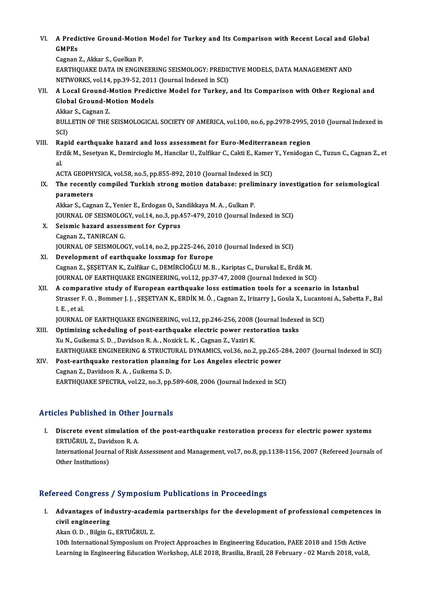VI. A Predictive Ground-Motion Model for Turkey and Its Comparison with Recent Local and Global<br>CMPEs A Predi<br>GMPEs<br>Gaman **A Predictive Ground-Motio<br>GMPEs<br>Cagnan Z., Akkar S., Guelkan P.<br>FARTHOUAVE DATA IN ENCIN** 

GMPEs<br>Cagnan Z., Akkar S., Guelkan P.<br>EARTHOUAKE DATA IN ENGINEERING SEISMOLOGY: PREDICTIVE MODELS. DATA MANAGEMENT AND Cagnan Z., Akkar S., Guelkan P.<br>EARTHQUAKE DATA IN ENGINEERING SEISMOLOGY: PREDIC<br>NETWORKS, vol.14, pp.39-52, 2011 (Journal Indexed in SCI)<br>A Local Cround Motion Prodictive Model for Turkey EARTHQUAKE DATA IN ENGINEERING SEISMOLOGY: PREDICTIVE MODELS, DATA MANAGEMENT AND<br>NETWORKS, vol.14, pp.39-52, 2011 (Journal Indexed in SCI)<br>VII. A Local Ground-Motion Predictive Model for Turkey, and Its Comparison with Ot

- NETWORKS, vol.14, pp.39-52, 2011<br>A Local Ground-Motion Predic<br>Global Ground-Motion Models<br>Akkar S. Cagnan 7 **A Local Ground-M<br>Global Ground-M<br>Akkar S., Cagnan Z.<br>PLU LETIN OF THE** 
	-

Global Ground-Motion Models<br>Akkar S., Cagnan Z.<br>BULLETIN OF THE SEISMOLOGICAL SOCIETY OF AMERICA, vol.100, no.6, pp.2978-2995, 2010 (Journal Indexed in<br>SCD Akka<br>BULI<br>SCI)<br>Bani

# SCI)<br>VIII. Rapid earthquake hazard and loss assessment for Euro-Mediterranean region

Erdik M., Sesetyan K., Demircioglu M., Hancilar U., Zulfikar C., Cakti E., Kamer Y., Yenidogan C., Tuzun C., Cagnan Z., et<br>al. Ra<br>Er<br>al. Erdik M., Sesetyan K., Demircioglu M., Hancilar U., Zulfikar C., Cakti E., Kamer<br>al.<br>ACTA GEOPHYSICA, vol.58, no.5, pp.855-892, 2010 (Journal Indexed in SCI)<br>The resently sempiled Turkish streng metien database: preliminer

al.<br>ACTA GEOPHYSICA, vol.58, no.5, pp.855-892, 2010 (Journal Indexed in SCI)<br>IX. The recently compiled Turkish strong motion database: preliminary investigation for seismological<br>nonomotors ACTA GEOPH<br>The recently<br>parameters<br>Aldra S. Corr The recently compiled Turkish strong motion database: prelip<br>parameters<br>Akkar S., Cagnan Z., Yenier E., Erdogan O., Sandikkaya M. A. , Gulkan P.<br>JOUPMAL OE SEISMOLOCY, vol.14, no.2, nn.457,479,2910 (Journal In

parameters<br>Akkar S., Cagnan Z., Yenier E., Erdogan O., Sandikkaya M. A. , Gulkan P.<br>JOURNAL OF SEISMOLOGY, vol.14, no.3, pp.457-479, 2010 (Journal Indexed in SCI)<br>Seismis begand assessment for Gunnus Akkar S., Cagnan Z., Yenier E., Erdogan O., Sa<br>JOURNAL OF SEISMOLOGY, vol.14, no.3, pp.4<br>X. Seismic hazard assessment for Cyprus

**JOURNAL OF SEISMOLO<br>Seismic hazard assess<br>Cagnan Z., TANIRCAN G.<br>JOUPNAL OF SEISMOLOG** X. Seismic hazard assessment for Cyprus<br>Cagnan Z., TANIRCAN G.<br>JOURNAL OF SEISMOLOGY, vol.14, no.2, pp.225-246, 2010 (Journal Indexed in SCI)

# XI. Development of earthquake lossmap for Europe

Cagnan Z., ŞEŞETYAN K., Zulfikar C., DEMİRCİOĞLU M. B., Kariptas C., Durukal E., Erdik M. JOURNAL OF EARTHQUAKE ENGINEERING, vol.12, pp.37-47, 2008 (Journal Indexed in SCI) Cagnan Z., ŞEŞETYAN K., Zulfikar C., DEMİRCİOĞLU M. B., Kariptas C., Durukal E., Erdik M.<br>JOURNAL OF EARTHQUAKE ENGINEERING, vol.12, pp.37-47, 2008 (Journal Indexed in SCI)<br>XII. A comparative study of European earthquake l

Strasser F. O. , Bommer J. J. , ŞEŞETYAN K., ERDİK M. Ö. , Cagnan Z., Irizarry J., Goula X., Lucantoni A., Sabetta F., Bal<br>I. E. . et al. **A compaint**<br>Strasser F<br>I. E. , et al.<br>IOUPMAI

JOURNAL OF EARTHQUAKE ENGINEERING, vol.12, pp.246-256, 2008 (Journal Indexed in SCI)

- I. E., et al.<br>JOURNAL OF EARTHQUAKE ENGINEERING, vol.12, pp.246-256, 2008 (Journal Indexe<br>XIII. Optimizing scheduling of post-earthquake electric power restoration tasks<br>X<sub>11</sub> N. Cullema S. D. Davidson B. A. Norial: L. K. JOURNAL OF EARTHQUAKE ENGINEERING, vol.12, pp.246-256, 2008 (<br>Optimizing scheduling of post-earthquake electric power rest<br>Xu N., Guikema S. D. , Davidson R. A. , Nozick L. K. , Cagnan Z., Vaziri K.<br>EARTHOUAKE ENCINEERING Xu N., Guikema S. D. , Davidson R. A. , Nozick L. K. , Cagnan Z., Vaziri K.<br>EARTHQUAKE ENGINEERING & STRUCTURAL DYNAMICS, vol.36, no.2, pp.265-284, 2007 (Journal Indexed in SCI) Xu N., Guikema S. D., Davidson R. A., Nozick L. K., Cagnan Z., Vaziri K.<br>EARTHQUAKE ENGINEERING & STRUCTURAL DYNAMICS, vol.36, no.2, pp.265-3<br>XIV. Post-earthquake restoration planning for Los Angeles electric power
- EARTHQUAKE ENGINEERING & STRUCT<br>Post-earthquake restoration planni<br>Cagnan Z., Davidson R. A. , Guikema S. D.<br>EARTHOUAKE SPECTRA, vol.22, no.2, nn Cagnan Z., Davidson R. A. , Guikema S. D.<br>EARTHQUAKE SPECTRA, vol.22, no.3, pp.589-608, 2006 (Journal Indexed in SCI)

# Articles Published in Other Journals

rticles Published in Other Journals<br>I. Discrete event simulation of the post-earthquake restoration process for electric power systems<br>ERTUČRULZ, Davidson R.A ERTUĞRUL Z., Davidson<br>ERTUĞRUL Z., Davidson R. A.<br>International Journal of Bick Discrete event simulation of the post-earthquake restoration process for electric power systems<br>ERTUĞRUL Z., Davidson R. A.<br>International Journal of Risk Assessment and Management, vol.7, no.8, pp.1138-1156, 2007 (Refereed ERTUĞRUL Z., Davidson R. A.<br>International Journal of Risk Assessment and Management, vol.7, no.8, pp.1138-1156, 2007 (Refereed Journals of<br>Other Institutions)

# Refereed Congress / Symposium Publications in Proceedings

efereed Congress / Symposium Publications in Proceedings<br>I. Advantages of industry-academia partnerships for the development of professional competences in Advantages of individual<br>Civil engineering<br>Alma O.D. Bilgin C Advantages of industry-acaden<br>civil engineering<br>Akan O. D. , Bilgin G., ERTUĞRUL Z.<br>10th International Supposium on l civil engineering<br>Akan O. D. , Bilgin G., ERTUĞRUL Z.<br>10th International Symposium on Project Approaches in Engineering Education, PAEE 2018 and 15th Active

Learning in Engineering Education Workshop, ALE 2018, Brasilia, Brazil, 28 February - 02 March 2018, vol.8,